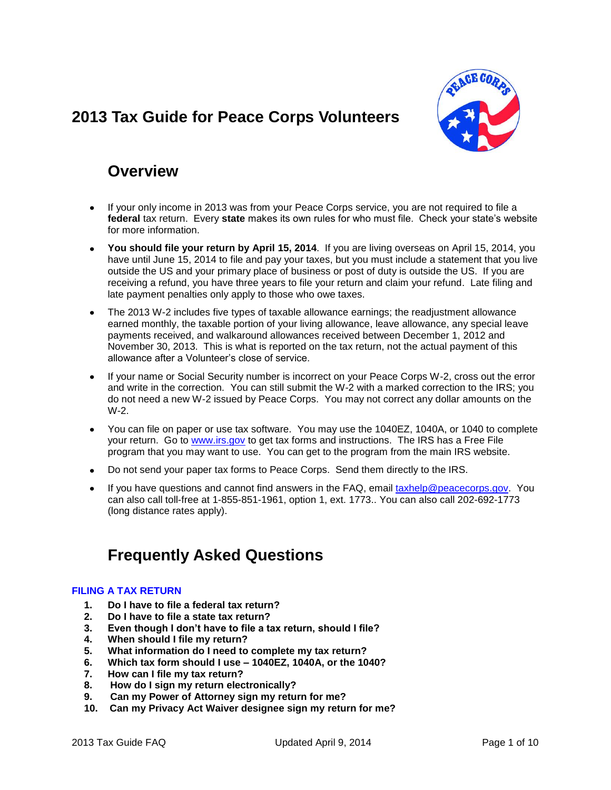# <span id="page-0-0"></span>**2013 Tax Guide for Peace Corps Volunteers**



# **Overview**

- If your only income in 2013 was from your Peace Corps service, you are not required to file a **federal** tax return. Every **state** makes its own rules for who must file. Check your state's website for more information.
- **You should file your return by April 15, 2014**. If you are living overseas on April 15, 2014, you have until June 15, 2014 to file and pay your taxes, but you must include a statement that you live outside the US and your primary place of business or post of duty is outside the US. If you are receiving a refund, you have three years to file your return and claim your refund. Late filing and late payment penalties only apply to those who owe taxes.
- The 2013 W-2 includes five types of taxable allowance earnings; the readjustment allowance earned monthly, the taxable portion of your living allowance, leave allowance, any special leave payments received, and walkaround allowances received between December 1, 2012 and November 30, 2013. This is what is reported on the tax return, not the actual payment of this allowance after a Volunteer's close of service.
- If your name or Social Security number is incorrect on your Peace Corps W-2, cross out the error and write in the correction. You can still submit the W-2 with a marked correction to the IRS; you do not need a new W-2 issued by Peace Corps. You may not correct any dollar amounts on the W-2.
- You can file on paper or use tax software. You may use the 1040EZ, 1040A, or 1040 to complete your return. Go to [www.irs.gov](http://www.irs.gov/) to get tax forms and instructions. The IRS has a Free File program that you may want to use. You can get to the program from the main IRS website.
- Do not send your paper tax forms to Peace Corps. Send them directly to the IRS.  $\bullet$
- If you have questions and cannot find answers in the FAQ, email [taxhelp@peacecorps.gov.](mailto:taxhelp@peacecorps.gov) You can also call toll-free at 1-855-851-1961, option 1, ext. 1773.. You can also call 202-692-1773 (long distance rates apply).

# **Frequently Asked Questions**

## **[FILING A TAX RETURN](#page-1-0)**

- **1. [Do I have to file a federal tax return?](#page-1-1)**
- **2. [Do I have to file a state tax return?](#page-2-0)**
- **3. [Even though I don't have to file a tax return, should I file?](#page-2-1)**
- **4. [When should I file my return?](#page-2-2)**
- **5. [What information do I need to complete my tax return?](#page-2-3)**
- **6. [Which tax form should I use –](#page-2-4) 1040EZ, 1040A, or the 1040?**
- **7. [How can I file my tax return?](#page-3-0)**
- **8. [How do I sign my return electronically?](#page-3-1)**
- **9. [Can my Power of Attorney sign my return for me?](#page-3-2)**
- **10. [Can my Privacy Act Waiver designee sign my return for me?](#page-4-0)**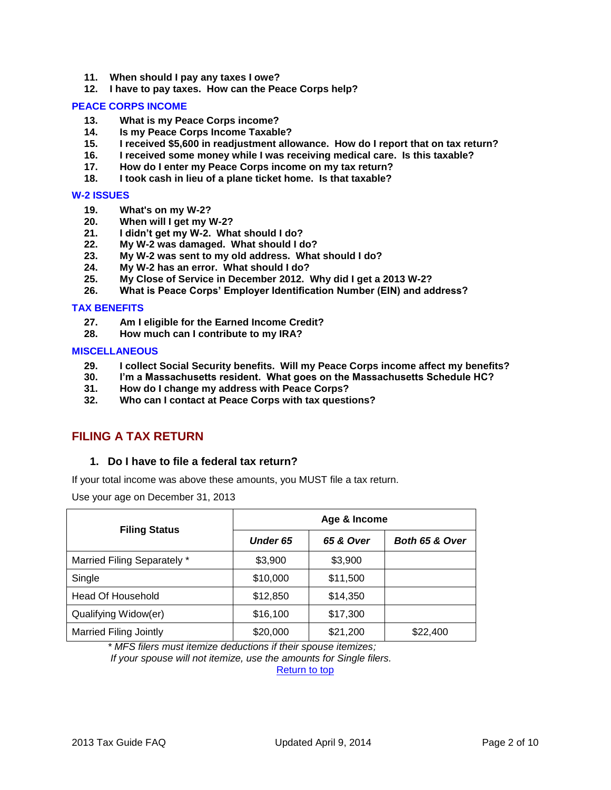- **11. [When should I pay any taxes I owe?](#page-4-1)**
- **12. [I have to pay taxes. How can the Peace Corps help?](#page-4-2)**

#### **[PEACE CORPS INCOME](#page-4-3)**

- **13. [What is my Peace Corps income?](#page-4-4)**
- **14. [Is my Peace Corps Income Taxable?](#page-5-0)**
- **15. I received [\\$5,600 in readjustment allowance. How do I report that on tax return?](#page-5-1)**
- **16. [I received some money while I was receiving medical care. Is this taxable?](#page-5-2)**
- **17. [How do I enter my Peace Corps income on my tax return?](#page-6-0)**
- **18. [I took cash in lieu of a plane ticket home. Is that taxable?](#page-6-1)**

#### **[W-2 ISSUES](#page-6-2)**

- **19. [What's on my W-2?](#page-6-3)**
- **20. [When will I get my W-2?](#page-6-4)**
- **21. [I didn't get my W-2. What should I do?](#page-6-5)**
- **22. [My W-2 was damaged. What should I do?](#page-7-0)**
- **23. [My W-2 was sent to my old address. What should I do?](#page-7-1)**
- **24. [My W-2 has an error. What should I do?](#page-7-2)**
- **25. [My Close of Service in December 2012. Why did I get a 2013](#page-7-3) W-2?**
- **26. [What is Peace Corps' Employer Identification Number \(EIN\) and address?](#page-7-4)**

#### **[TAX BENEFITS](#page-8-0)**

- **27. [Am I eligible for the Earned Income Credit?](#page-8-1)**
- **28. [How much can I contribute to my IRA?](#page-8-2)**

#### **[MISCELLANEOUS](#page-8-3)**

- **29. [I collect Social Security benefits. Will my Peace Corps income affect my benefits?](#page-8-4)**
- **30. [I'm a Massachusetts resident. What goes on the Massachusetts Schedule HC?](#page-9-0)**
- **31. [How do I change my address with Peace Corps?](#page-9-1)**
- **32. [Who can I contact at Peace Corps with tax questions?](#page-9-2)**

# <span id="page-1-1"></span><span id="page-1-0"></span>**FILING A TAX RETURN**

## **1. Do I have to file a federal tax return?**

If your total income was above these amounts, you MUST file a tax return.

Use your age on December 31, 2013

| <b>Filing Status</b>          | Age & Income |           |                |  |  |
|-------------------------------|--------------|-----------|----------------|--|--|
|                               | Under 65     | 65 & Over | Both 65 & Over |  |  |
| Married Filing Separately *   | \$3,900      | \$3,900   |                |  |  |
| Single                        | \$10,000     | \$11,500  |                |  |  |
| <b>Head Of Household</b>      | \$12,850     | \$14,350  |                |  |  |
| Qualifying Widow(er)          | \$16,100     | \$17,300  |                |  |  |
| <b>Married Filing Jointly</b> | \$20,000     | \$21,200  | \$22,400       |  |  |

*\* MFS filers must itemize deductions if their spouse itemizes;*

*If your spouse will not itemize, use the amounts for Single filers.*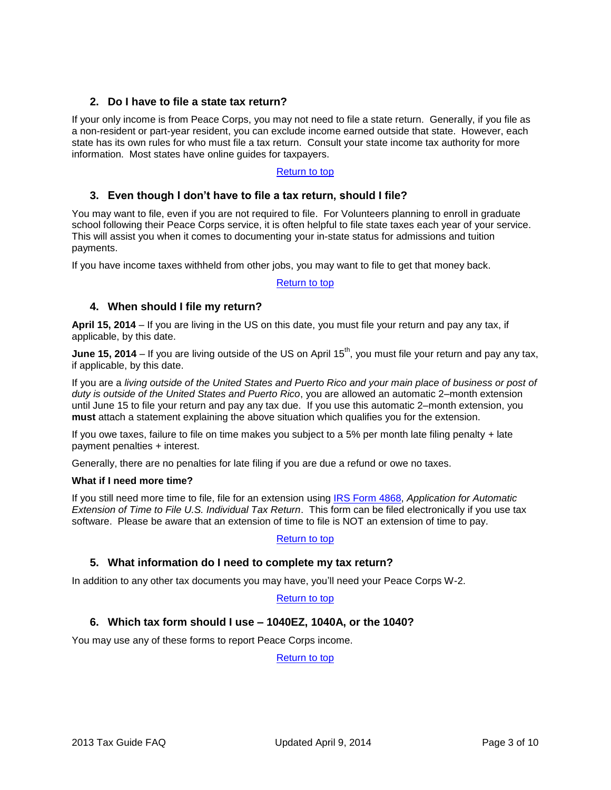## <span id="page-2-0"></span>**2. Do I have to file a state tax return?**

If your only income is from Peace Corps, you may not need to file a state return. Generally, if you file as a non-resident or part-year resident, you can exclude income earned outside that state. However, each state has its own rules for who must file a tax return. Consult your state income tax authority for more information. Most states have online guides for taxpayers.

## [Return to top](#page-0-0)

## <span id="page-2-1"></span>**3. Even though I don't have to file a tax return, should I file?**

You may want to file, even if you are not required to file. For Volunteers planning to enroll in graduate school following their Peace Corps service, it is often helpful to file state taxes each year of your service. This will assist you when it comes to documenting your in-state status for admissions and tuition payments.

If you have income taxes withheld from other jobs, you may want to file to get that money back.

#### [Return to top](#page-0-0)

## <span id="page-2-2"></span>**4. When should I file my return?**

**April 15, 2014** – If you are living in the US on this date, you must file your return and pay any tax, if applicable, by this date.

**June 15, 2014** – If you are living outside of the US on April 15<sup>th</sup>, you must file your return and pay any tax, if applicable, by this date.

If you are a *living outside of the United States and Puerto Rico and your main place of business or post of duty is outside of the United States and Puerto Rico*, you are allowed an automatic 2–month extension until June 15 to file your return and pay any tax due. If you use this automatic 2–month extension, you **must** attach a statement explaining the above situation which qualifies you for the extension.

If you owe taxes, failure to file on time makes you subject to a 5% per month late filing penalty + late payment penalties + interest.

Generally, there are no penalties for late filing if you are due a refund or owe no taxes.

## **What if I need more time?**

If you still need more time to file, file for an extension using [IRS Form 4868,](http://www.irs.gov/pub/irs-pdf/f4868.pdf) *Application for Automatic Extension of Time to File U.S. Individual Tax Return*. This form can be filed electronically if you use tax software. Please be aware that an extension of time to file is NOT an extension of time to pay.

## [Return to top](#page-0-0)

## <span id="page-2-3"></span>**5. What information do I need to complete my tax return?**

In addition to any other tax documents you may have, you'll need your Peace Corps W-2.

#### [Return to top](#page-0-0)

## <span id="page-2-4"></span>**6. Which tax form should I use – 1040EZ, 1040A, or the 1040?**

You may use any of these forms to report Peace Corps income.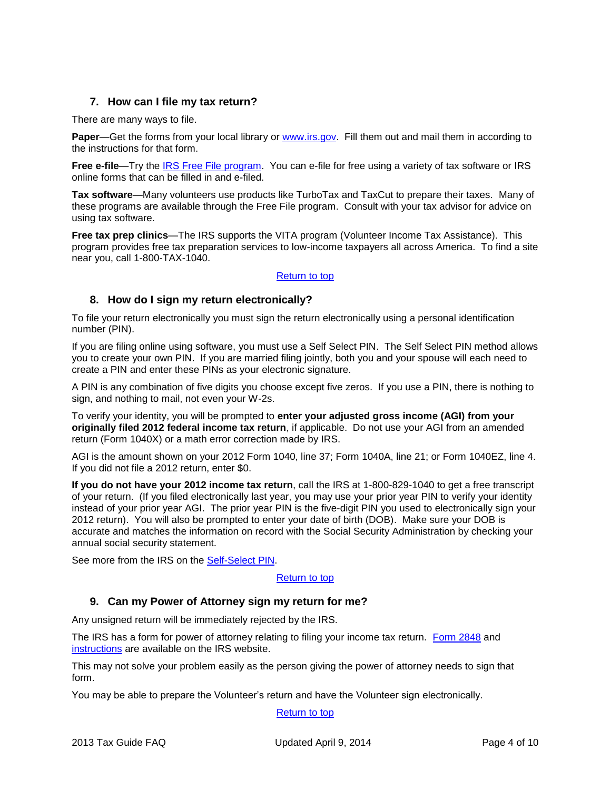# <span id="page-3-0"></span>**7. How can I file my tax return?**

There are many ways to file.

**Paper—Get the forms from your local library or [www.irs.gov.](http://www.irs.gov/)** Fill them out and mail them in according to the instructions for that form.

**Free e-file**—Try the [IRS Free File program.](http://www.irs.gov/efile/article/0,,id=118986,00.html?portlet=4) You can e-file for free using a variety of tax software or IRS online forms that can be filled in and e-filed.

**Tax software**—Many volunteers use products like TurboTax and TaxCut to prepare their taxes. Many of these programs are available through the Free File program. Consult with your tax advisor for advice on using tax software.

**Free tax prep clinics**—The IRS supports the VITA program (Volunteer Income Tax Assistance). This program provides free tax preparation services to low-income taxpayers all across America. To find a site near you, call 1-800-TAX-1040.

## [Return to top](#page-0-0)

## <span id="page-3-1"></span>**8. How do I sign my return electronically?**

To file your return electronically you must sign the return electronically using a personal identification number (PIN).

If you are filing online using software, you must use a Self Select PIN. The Self Select PIN method allows you to create your own PIN. If you are married filing jointly, both you and your spouse will each need to create a PIN and enter these PINs as your electronic signature.

A PIN is any combination of five digits you choose except five zeros. If you use a PIN, there is nothing to sign, and nothing to mail, not even your W-2s.

To verify your identity, you will be prompted to **enter your adjusted gross income (AGI) from your originally filed 2012 federal income tax return**, if applicable. Do not use your AGI from an amended return (Form 1040X) or a math error correction made by IRS.

AGI is the amount shown on your 2012 Form 1040, line 37; Form 1040A, line 21; or Form 1040EZ, line 4. If you did not file a 2012 return, enter \$0.

**If you do not have your 2012 income tax return**, call the IRS at 1-800-829-1040 to get a free transcript of your return. (If you filed electronically last year, you may use your prior year PIN to verify your identity instead of your prior year AGI. The prior year PIN is the five-digit PIN you used to electronically sign your 2012 return). You will also be prompted to enter your date of birth (DOB). Make sure your DOB is accurate and matches the information on record with the Social Security Administration by checking your annual social security statement.

See more from the IRS on the [Self-Select PIN.](http://www.irs.gov/efile/article/0,,id=120000,00.html)

#### [Return to top](#page-0-0)

## <span id="page-3-2"></span>**9. Can my Power of Attorney sign my return for me?**

Any unsigned return will be immediately rejected by the IRS.

The IRS has a form for power of attorney relating to filing your income tax return. [Form 2848](http://www.irs.gov/pub/irs-pdf/f2848.pdf) and [instructions](http://www.irs.gov/pub/irs-pdf/i2848.pdf) are available on the IRS website.

This may not solve your problem easily as the person giving the power of attorney needs to sign that form.

You may be able to prepare the Volunteer's return and have the Volunteer sign electronically.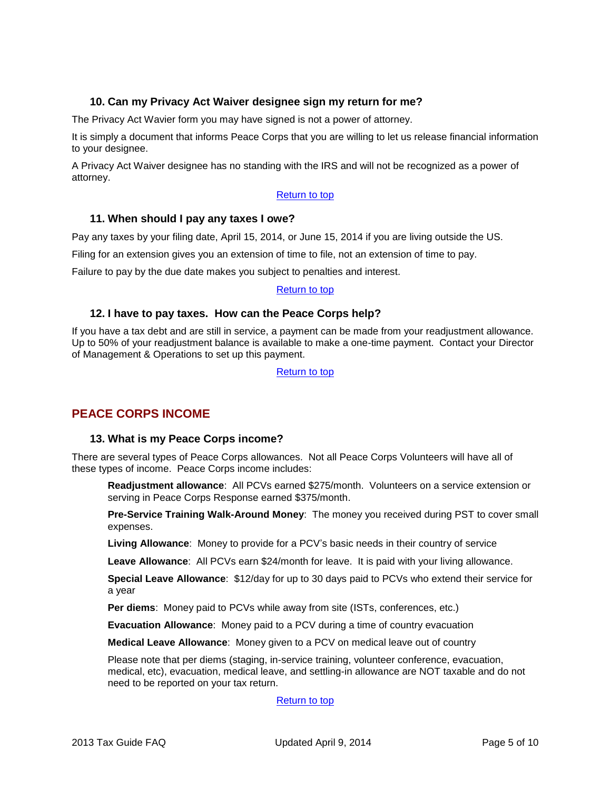# <span id="page-4-0"></span>**10. Can my Privacy Act Waiver designee sign my return for me?**

The Privacy Act Wavier form you may have signed is not a power of attorney.

It is simply a document that informs Peace Corps that you are willing to let us release financial information to your designee.

A Privacy Act Waiver designee has no standing with the IRS and will not be recognized as a power of attorney.

## [Return to top](#page-0-0)

## <span id="page-4-1"></span>**11. When should I pay any taxes I owe?**

Pay any taxes by your filing date, April 15, 2014, or June 15, 2014 if you are living outside the US.

Filing for an extension gives you an extension of time to file, not an extension of time to pay.

Failure to pay by the due date makes you subject to penalties and interest.

#### [Return to top](#page-0-0)

## <span id="page-4-2"></span>**12. I have to pay taxes. How can the Peace Corps help?**

If you have a tax debt and are still in service, a payment can be made from your readjustment allowance. Up to 50% of your readjustment balance is available to make a one-time payment. Contact your Director of Management & Operations to set up this payment.

[Return to top](#page-0-0)

# <span id="page-4-4"></span><span id="page-4-3"></span>**PEACE CORPS INCOME**

## **13. What is my Peace Corps income?**

There are several types of Peace Corps allowances. Not all Peace Corps Volunteers will have all of these types of income. Peace Corps income includes:

**Readjustment allowance**: All PCVs earned \$275/month. Volunteers on a service extension or serving in Peace Corps Response earned \$375/month.

**Pre-Service Training Walk-Around Money**: The money you received during PST to cover small expenses.

**Living Allowance**: Money to provide for a PCV's basic needs in their country of service

**Leave Allowance**: All PCVs earn \$24/month for leave. It is paid with your living allowance.

**Special Leave Allowance**: \$12/day for up to 30 days paid to PCVs who extend their service for a year

**Per diems**: Money paid to PCVs while away from site (ISTs, conferences, etc.)

**Evacuation Allowance**: Money paid to a PCV during a time of country evacuation

**Medical Leave Allowance**: Money given to a PCV on medical leave out of country

Please note that per diems (staging, in-service training, volunteer conference, evacuation, medical, etc), evacuation, medical leave, and settling-in allowance are NOT taxable and do not need to be reported on your tax return.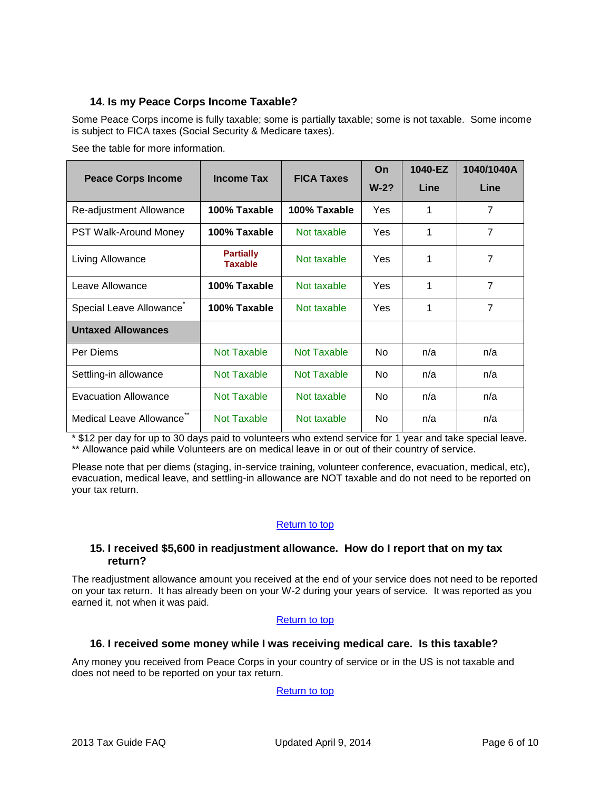# <span id="page-5-0"></span>**14. Is my Peace Corps Income Taxable?**

Some Peace Corps income is fully taxable; some is partially taxable; some is not taxable. Some income is subject to FICA taxes (Social Security & Medicare taxes).

See the table for more information.

| <b>Peace Corps Income</b>   | <b>Income Tax</b>                  | <b>FICA Taxes</b> | On<br>$W-2?$ | 1040-EZ<br>Line | 1040/1040A<br>Line |
|-----------------------------|------------------------------------|-------------------|--------------|-----------------|--------------------|
| Re-adjustment Allowance     | 100% Taxable                       | 100% Taxable      | Yes          | 1               | 7                  |
| PST Walk-Around Money       | 100% Taxable                       | Not taxable       | Yes          | 1               | 7                  |
| Living Allowance            | <b>Partially</b><br><b>Taxable</b> | Not taxable       | Yes          | 1               | 7                  |
| Leave Allowance             | 100% Taxable                       | Not taxable       | Yes          | 1               | 7                  |
| Special Leave Allowance     | 100% Taxable                       | Not taxable       | Yes          | 1               | $\overline{7}$     |
| <b>Untaxed Allowances</b>   |                                    |                   |              |                 |                    |
| Per Diems                   | Not Taxable                        | Not Taxable       | <b>No</b>    | n/a             | n/a                |
| Settling-in allowance       | Not Taxable                        | Not Taxable       | No.          | n/a             | n/a                |
| <b>Evacuation Allowance</b> | Not Taxable                        | Not taxable       | No           | n/a             | n/a                |
| Medical Leave Allowance     | Not Taxable                        | Not taxable       | No.          | n/a             | n/a                |

\* \$12 per day for up to 30 days paid to volunteers who extend service for 1 year and take special leave. \*\* Allowance paid while Volunteers are on medical leave in or out of their country of service.

Please note that per diems (staging, in-service training, volunteer conference, evacuation, medical, etc), evacuation, medical leave, and settling-in allowance are NOT taxable and do not need to be reported on your tax return.

## [Return to top](#page-0-0)

## <span id="page-5-1"></span>**15. I received \$5,600 in readjustment allowance. How do I report that on my tax return?**

The readjustment allowance amount you received at the end of your service does not need to be reported on your tax return. It has already been on your W-2 during your years of service. It was reported as you earned it, not when it was paid.

## [Return to top](#page-0-0)

# <span id="page-5-2"></span>**16. I received some money while I was receiving medical care. Is this taxable?**

Any money you received from Peace Corps in your country of service or in the US is not taxable and does not need to be reported on your tax return.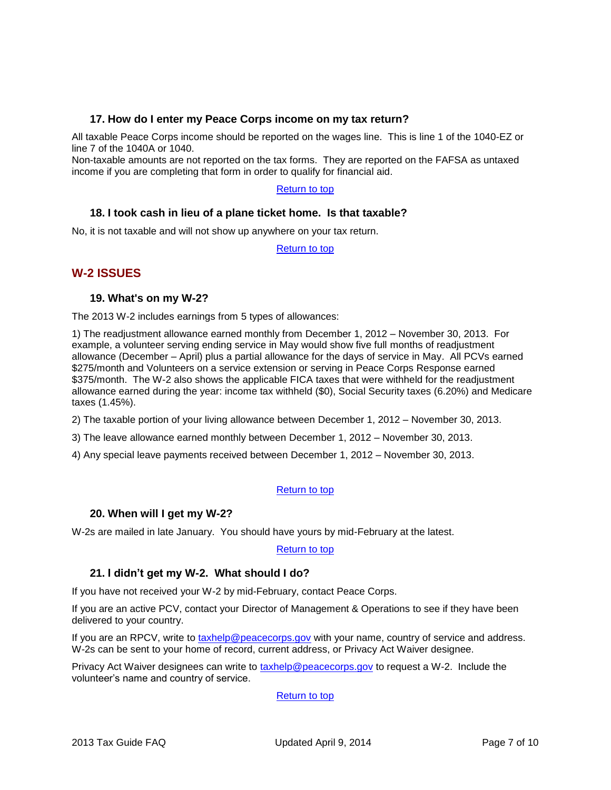## <span id="page-6-0"></span>**17. How do I enter my Peace Corps income on my tax return?**

All taxable Peace Corps income should be reported on the wages line. This is line 1 of the 1040-EZ or line 7 of the 1040A or 1040.

Non-taxable amounts are not reported on the tax forms. They are reported on the FAFSA as untaxed income if you are completing that form in order to qualify for financial aid.

## [Return to top](#page-0-0)

## <span id="page-6-1"></span>**18. I took cash in lieu of a plane ticket home. Is that taxable?**

No, it is not taxable and will not show up anywhere on your tax return.

[Return to top](#page-0-0)

# <span id="page-6-3"></span><span id="page-6-2"></span>**W-2 ISSUES**

## **19. What's on my W-2?**

The 2013 W-2 includes earnings from 5 types of allowances:

1) The readjustment allowance earned monthly from December 1, 2012 – November 30, 2013. For example, a volunteer serving ending service in May would show five full months of readjustment allowance (December – April) plus a partial allowance for the days of service in May. All PCVs earned \$275/month and Volunteers on a service extension or serving in Peace Corps Response earned \$375/month. The W-2 also shows the applicable FICA taxes that were withheld for the readjustment allowance earned during the year: income tax withheld (\$0), Social Security taxes (6.20%) and Medicare taxes (1.45%).

2) The taxable portion of your living allowance between December 1, 2012 – November 30, 2013.

3) The leave allowance earned monthly between December 1, 2012 – November 30, 2013.

4) Any special leave payments received between December 1, 2012 – November 30, 2013.

## [Return to top](#page-0-0)

## <span id="page-6-4"></span>**20. When will I get my W-2?**

W-2s are mailed in late January. You should have yours by mid-February at the latest.

[Return to top](#page-0-0)

## <span id="page-6-5"></span>**21. I didn't get my W-2. What should I do?**

If you have not received your W-2 by mid-February, contact Peace Corps.

If you are an active PCV, contact your Director of Management & Operations to see if they have been delivered to your country.

If you are an RPCV, write to [taxhelp@peacecorps.gov](mailto:taxhelp@peacecorps.gov) with your name, country of service and address. W-2s can be sent to your home of record, current address, or Privacy Act Waiver designee.

Privacy Act Waiver designees can write to [taxhelp@peacecorps.gov](mailto:taxhelp@peacecorps.gov) to request a W-2. Include the volunteer's name and country of service.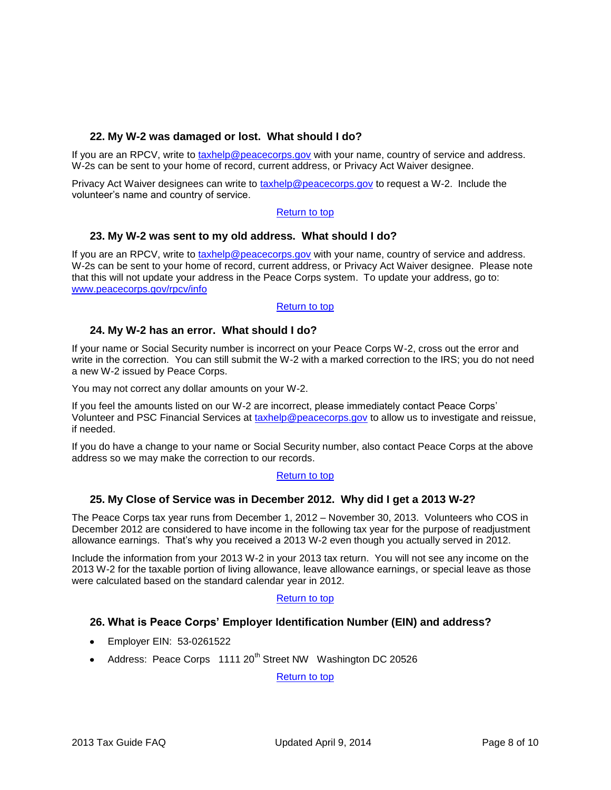# <span id="page-7-0"></span>**22. My W-2 was damaged or lost. What should I do?**

If you are an RPCV, write to [taxhelp@peacecorps.gov](mailto:taxhelp@peacecorps.gov) with your name, country of service and address. W-2s can be sent to your home of record, current address, or Privacy Act Waiver designee.

Privacy Act Waiver designees can write to [taxhelp@peacecorps.gov](mailto:taxhelp@peacecorps.gov) to request a W-2. Include the volunteer's name and country of service.

## [Return to top](#page-0-0)

## <span id="page-7-1"></span>**23. My W-2 was sent to my old address. What should I do?**

If you are an RPCV, write to [taxhelp@peacecorps.gov](mailto:taxhelp@peacecorps.gov) with your name, country of service and address. W-2s can be sent to your home of record, current address, or Privacy Act Waiver designee. Please note that this will not update your address in the Peace Corps system. To update your address, go to: [www.peacecorps.gov/rpcv/info](http://www.peacecorps.gov/rpcv/info)

## [Return to top](#page-0-0)

## <span id="page-7-2"></span>**24. My W-2 has an error. What should I do?**

If your name or Social Security number is incorrect on your Peace Corps W-2, cross out the error and write in the correction. You can still submit the W-2 with a marked correction to the IRS; you do not need a new W-2 issued by Peace Corps.

You may not correct any dollar amounts on your W-2.

If you feel the amounts listed on our W-2 are incorrect, please immediately contact Peace Corps' Volunteer and PSC Financial Services at [taxhelp@peacecorps.gov](mailto:taxhelp@peacecorps.gov) to allow us to investigate and reissue, if needed.

If you do have a change to your name or Social Security number, also contact Peace Corps at the above address so we may make the correction to our records.

## [Return to top](#page-0-0)

## <span id="page-7-3"></span>**25. My Close of Service was in December 2012. Why did I get a 2013 W-2?**

The Peace Corps tax year runs from December 1, 2012 – November 30, 2013. Volunteers who COS in December 2012 are considered to have income in the following tax year for the purpose of readjustment allowance earnings. That's why you received a 2013 W-2 even though you actually served in 2012.

Include the information from your 2013 W-2 in your 2013 tax return. You will not see any income on the 2013 W-2 for the taxable portion of living allowance, leave allowance earnings, or special leave as those were calculated based on the standard calendar year in 2012.

## [Return to top](#page-0-0)

## <span id="page-7-4"></span>**26. What is Peace Corps' Employer Identification Number (EIN) and address?**

- Employer EIN: 53-0261522
- Address: Peace Corps 1111 20<sup>th</sup> Street NW Washington DC 20526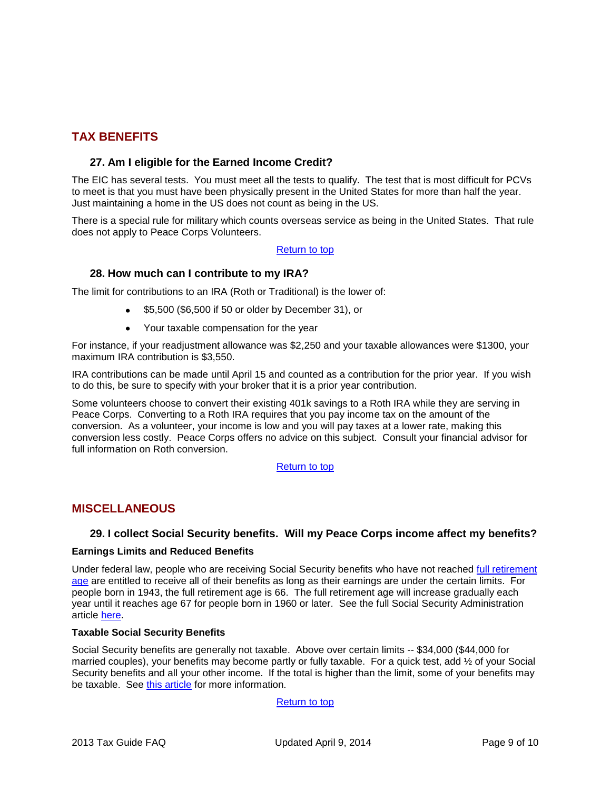# <span id="page-8-1"></span><span id="page-8-0"></span>**TAX BENEFITS**

## **27. Am I eligible for the Earned Income Credit?**

The EIC has several tests. You must meet all the tests to qualify. The test that is most difficult for PCVs to meet is that you must have been physically present in the United States for more than half the year. Just maintaining a home in the US does not count as being in the US.

There is a special rule for military which counts overseas service as being in the United States. That rule does not apply to Peace Corps Volunteers.

## [Return to top](#page-0-0)

## <span id="page-8-2"></span>**28. How much can I contribute to my IRA?**

The limit for contributions to an IRA (Roth or Traditional) is the lower of:

- \$5,500 (\$6,500 if 50 or older by December 31), or
- Your taxable compensation for the year

For instance, if your readjustment allowance was \$2,250 and your taxable allowances were \$1300, your maximum IRA contribution is \$3,550.

IRA contributions can be made until April 15 and counted as a contribution for the prior year. If you wish to do this, be sure to specify with your broker that it is a prior year contribution.

Some volunteers choose to convert their existing 401k savings to a Roth IRA while they are serving in Peace Corps. Converting to a Roth IRA requires that you pay income tax on the amount of the conversion. As a volunteer, your income is low and you will pay taxes at a lower rate, making this conversion less costly. Peace Corps offers no advice on this subject. Consult your financial advisor for full information on Roth conversion.

## [Return to top](#page-0-0)

## <span id="page-8-4"></span><span id="page-8-3"></span>**MISCELLANEOUS**

## **29. I collect Social Security benefits. Will my Peace Corps income affect my benefits?**

#### **Earnings Limits and Reduced Benefits**

Under federal law, people who are receiving Social Security benefits who have not reached full retirement [age](http://www.ssa.gov/retire2/retirechart.htm) are entitled to receive all of their benefits as long as their earnings are under the certain limits. For people born in 1943, the full retirement age is 66. The full retirement age will increase gradually each year until it reaches age 67 for people born in 1960 or later. See the full Social Security Administration article [here.](http://www.ssa.gov/pubs/10003.html)

## **Taxable Social Security Benefits**

Social Security benefits are generally not taxable. Above over certain limits -- \$34,000 (\$44,000 for married couples), your benefits may become partly or fully taxable. For a quick test, add ½ of your Social Security benefits and all your other income. If the total is higher than the limit, some of your benefits may be taxable. See [this article](http://www.irs.gov/pub/irs-pdf/p915.pdf) for more information.